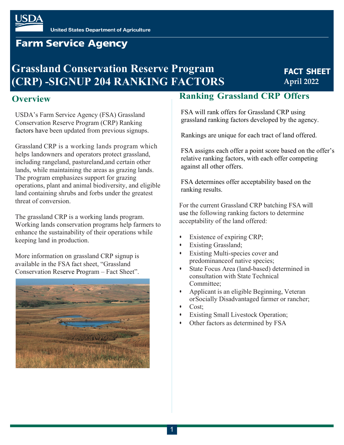# **Farm Service Agency**

# **Grassland Conservation Reserve Program (CRP) -SIGNUP 204 RANKING FACTORS**

## **FACT SHEET April 2022**

### **Overview**

USDA's Farm Service Agency (FSA) Grassland Conservation Reserve Program (CRP) Ranking factors have been updated from previous signups.

Grassland CRP is a working lands program which helps landowners and operators protect grassland, including rangeland, pastureland,and certain other lands, while maintaining the areas as grazing lands. The program emphasizes support for grazing operations, plant and animal biodiversity, and eligible land containing shrubs and forbs under the greatest threat of conversion.

The grassland CRP is a working lands program. Working lands conservation programs help farmers to enhance the sustainability of their operations while keeping land in production.

More information on grassland CRP signup is available in the FSA fact sheet, "Grassland Conservation Reserve Program – Fact Sheet".



## **Ranking Grassland CRP Offers**

FSA will rank offers for Grassland CRP using grassland ranking factors developed by the agency.

Rankings are unique for each tract of land offered.

FSA assigns each offer a point score based on the offer's relative ranking factors, with each offer competing against all other offers.

FSA determines offer acceptability based on the ranking results.

For the current Grassland CRP batching FSA will use the following ranking factors to determine acceptability of the land offered:

- Existence of expiring CRP;
- **Existing Grassland;**
- Existing Multi-species cover and predominanceof native species;
- State Focus Area (land-based) determined in consultation with State Technical Committee;
- Applicant is an eligible Beginning, Veteran or Socially Disadvantaged farmer or rancher;
- Cost;
- **Existing Small Livestock Operation;**
- Other factors as determined by FSA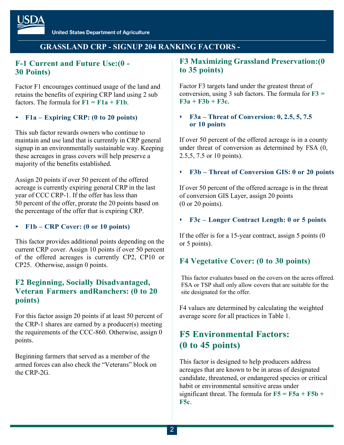### **GRASSLAND CRP - SIGNUP 204 RANKING FACTORS -**

### **F-1 Current and Future Use:(0 - 30 Points)**

Factor F1 encourages continued usage of the land and retains the benefits of expiring CRP land using 2 sub factors. The formula for  $F1 = F1a + F1b$ .

#### • **F1a – Expiring CRP: (0 to 20 points)**

This sub factor rewards owners who continue to maintain and use land that is currently in CRP general signup in an environmentally sustainable way. Keeping these acreages in grass covers will help preserve a majority of the benefits established.

Assign 20 points if over 50 percent of the offered acreage is currently expiring general CRP in the last year of CCC CRP-1. If the offer has less than 50 percent of the offer, prorate the 20 points based on the percentage of the offer that is expiring CRP.

#### • **F1b – CRP Cover: (0 or 10 points)**

This factor provides additional points depending on the current CRP cover. Assign 10 points if over 50 percent of the offered acreages is currently CP2, CP10 or CP25. Otherwise, assign 0 points.

### **F2 Beginning, Socially Disadvantaged, Veteran Farmers and Ranchers: (0 to 20 points)**

For this factor assign 20 points if at least 50 percent of the CRP-1 shares are earned by a producer(s) meeting the requirements of the CCC-860. Otherwise, assign 0 points.

Beginning farmers that served as a member of the armed forces can also check the "Veterans" block on the CRP-2G.

### **F3 Maximizing Grassland Preservation:(0 to 35 points)**

Factor F3 targets land under the greatest threat of conversion, using 3 sub factors. The formula for **F3 =**  $F3a + F3b + F3c$ 

#### • **F3a – Threat of Conversion: 0, 2.5, 5, 7.5 or 10 points**

If over 50 percent of the offered acreage is in a county under threat of conversion as determined by FSA (0, 2.5,5, 7.5 or 10 points).

#### • **F3b – Threat of Conversion GIS: 0 or 20 points**

If over 50 percent of the offered acreage is in the threat of conversion GIS Layer, assign 20 points (0 or 20 points).

#### • **F3c – Longer Contract Length: 0 or 5 points**

If the offer is for a 15-year contract, assign 5 points (0 or 5 points).

### **F4 Vegetative Cover: (0 to 30 points)**

This factor evaluates based on the covers on the acres offered. FSA or TSP shall only allow covers that are suitable for the site designated for the offer.

F4 values are determined by calculating the weighted average score for all practices in Table 1.

## **F5 Environmental Factors: (0 to 45 points)**

This factor is designed to help producers address acreages that are known to be in areas of designated candidate, threatened, or endangered species or critical habit or environmental sensitive areas under significant threat. The formula for  $\mathbf{F5} = \mathbf{F5a} + \mathbf{F5b} + \mathbf{F5c}$ **F5c**.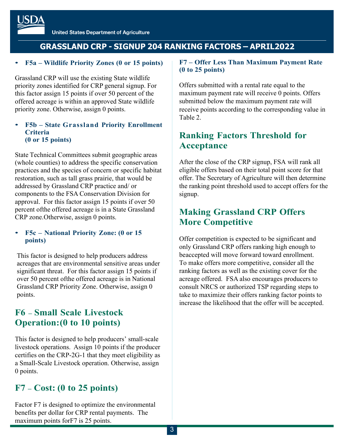## **GRASSLAND CRP - SIGNUP 204 RANKING FACTORS – APRIL2022**

#### • **F5a – Wildlife Priority Zones (0 or 15 points)**

Grassland CRP will use the existing State wildlife priority zones identified for CRP general signup. For this factor assign 15 points if over 50 percent of the offered acreage is within an approved State wildlife priority zone. Otherwise, assign 0 points.

#### • **F5b – State Grassland Priority Enrollment Criteria (0 or 15 points)**

State Technical Committees submit geographic areas (whole counties) to address the specific conservation practices and the species of concern or specific habitat restoration, such as tall grass prairie, that would be addressed by Grassland CRP practice and/ or components to the FSA Conservation Division for approval. For this factor assign 15 points if over 50 percent ofthe offered acreage is in a State Grassland CRP zone.Otherwise, assign 0 points.

#### • **F5c – National Priority Zone: (0 or 15 points)**

This factor is designed to help producers address acreages that are environmental sensitive areas under significant threat. For this factor assign 15 points if over 50 percent ofthe offered acreage is in National Grassland CRP Priority Zone. Otherwise, assign 0 points.

## **F6 – Small Scale Livestock Operation:(0 to 10 points)**

This factor is designed to help producers' small-scale livestock operations. Assign 10 points if the producer certifies on the CRP-2G-1 that they meet eligibility as a Small-Scale Livestock operation. Otherwise, assign 0 points.

## **F7 – Cost: (0 to 25 points)**

Factor F7 is designed to optimize the environmental benefits per dollar for CRP rental payments. The maximum points forF7 is 25 points.

#### **F7 – Offer Less Than Maximum Payment Rate (0 to 25 points)**

Offers submitted with a rental rate equal to the maximum payment rate will receive 0 points. Offers submitted below the maximum payment rate will receive points according to the corresponding value in Table 2.

## **Ranking Factors Threshold for Acceptance**

After the close of the CRP signup, FSA will rank all eligible offers based on their total point score for that offer. The Secretary of Agriculture will then determine the ranking point threshold used to accept offers for the signup.

## **Making Grassland CRP Offers More Competitive**

Offer competition is expected to be significant and only Grassland CRP offers ranking high enough to beaccepted will move forward toward enrollment. To make offers more competitive, consider all the ranking factors as well as the existing cover for the acreage offered. FSA also encourages producers to consult NRCS or authorized TSP regarding steps to take to maximize their offers ranking factor points to increase the likelihood that the offer will be accepted.